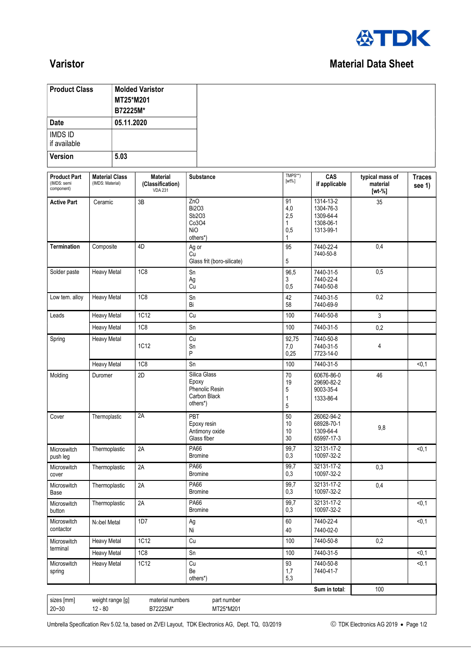

## **Varistor** Material Data Sheet

| <b>Product Class</b>                             |                                           |                       | <b>Molded Varistor</b>                                |                   |                                                                            |                                   |                                                               |                                         |                         |
|--------------------------------------------------|-------------------------------------------|-----------------------|-------------------------------------------------------|-------------------|----------------------------------------------------------------------------|-----------------------------------|---------------------------------------------------------------|-----------------------------------------|-------------------------|
|                                                  |                                           | MT25*M201<br>B72225M* |                                                       |                   |                                                                            |                                   |                                                               |                                         |                         |
| <b>Date</b>                                      |                                           | 05.11.2020            |                                                       |                   |                                                                            |                                   |                                                               |                                         |                         |
| <b>IMDS ID</b><br>if available                   |                                           |                       |                                                       |                   |                                                                            |                                   |                                                               |                                         |                         |
| <b>Version</b>                                   |                                           | 5.03                  |                                                       |                   |                                                                            |                                   |                                                               |                                         |                         |
| <b>Product Part</b><br>(IMDS: semi<br>component) | <b>Material Class</b><br>(IMDS: Material) |                       | <b>Material</b><br>(Classification)<br><b>VDA 231</b> |                   | Substance                                                                  | TMPS**)<br>$[wt\%]$               | CAS<br>if applicable                                          | typical mass of<br>material<br>$[wt-%]$ | <b>Traces</b><br>see 1) |
| <b>Active Part</b>                               | Ceramic                                   |                       | 3B                                                    | ZnO<br><b>NiO</b> | <b>Bi2O3</b><br>Sb2O3<br>Co3O4<br>others*)                                 | 91<br>4,0<br>2,5<br>1<br>0,5<br>1 | 1314-13-2<br>1304-76-3<br>1309-64-4<br>1308-06-1<br>1313-99-1 | $\overline{35}$                         |                         |
| <b>Termination</b>                               | Composite                                 |                       | 4D                                                    | Ag or<br>Cu       | Glass frit (boro-silicate)                                                 | 95<br>5                           | 7440-22-4<br>7440-50-8                                        | 0,4                                     |                         |
| Solder paste                                     | <b>Heavy Metal</b>                        |                       | <b>1C8</b>                                            | Sn<br>Ag<br>Cu    |                                                                            | 96,5<br>3<br>0,5                  | 7440-31-5<br>7440-22-4<br>7440-50-8                           | 0,5                                     |                         |
| Low tem. alloy                                   | <b>Heavy Metal</b>                        |                       | <b>1C8</b>                                            | Sn<br>Bi          |                                                                            | 42<br>58                          | 7440-31-5<br>7440-69-9                                        | 0,2                                     |                         |
| Leads                                            | <b>Heavy Metal</b>                        |                       | 1C12                                                  | Cu                |                                                                            | 100                               | 7440-50-8                                                     | 3                                       |                         |
|                                                  | <b>Heavy Metal</b>                        |                       | 1C8                                                   | Sn                |                                                                            | 100                               | 7440-31-5                                                     | 0,2                                     |                         |
| Spring                                           | <b>Heavy Metal</b>                        |                       | 1C12                                                  | Cu<br>Sn<br>P     |                                                                            | 92,75<br>7,0<br>0,25              | 7440-50-8<br>7440-31-5<br>7723-14-0                           | 4                                       |                         |
|                                                  | <b>Heavy Metal</b>                        |                       | 1C <sub>8</sub>                                       | Sn                |                                                                            | 100                               | 7440-31-5                                                     |                                         | < 0.1                   |
| Molding                                          | Duromer                                   |                       | 2D                                                    |                   | Silica Glass<br>Epoxy<br><b>Phenolic Resin</b><br>Carbon Black<br>others*) | 70<br>19<br>5<br>1<br>5           | 60676-86-0<br>29690-82-2<br>9003-35-4<br>1333-86-4            | 46                                      |                         |
| Cover                                            | Thermoplastic                             |                       | 2A                                                    | PBT               | Epoxy resin<br>Antimony oxide<br>Glass fiber                               | 50<br>10<br>10<br>$30\,$          | 26062-94-2<br>68928-70-1<br>1309-64-4<br>65997-17-3           | 9,8                                     |                         |
| Microswitch<br>push leg                          | Thermoplastic                             |                       | 2A                                                    | PA66              | <b>Bromine</b>                                                             | 99,7<br>0,3                       | 32131-17-2<br>10097-32-2                                      |                                         | < 0, 1                  |
| Microswitch<br>cover                             | Thermoplastic                             |                       | 2A                                                    | <b>PA66</b>       | <b>Bromine</b>                                                             | 99,7<br>0,3                       | 32131-17-2<br>10097-32-2                                      | 0,3                                     |                         |
| Microswitch<br>Base                              | Thermoplastic                             |                       | 2A                                                    | PA66              | <b>Bromine</b>                                                             | 99,7<br>0,3                       | 32131-17-2<br>10097-32-2                                      | 0,4                                     |                         |
| Microswitch<br>button                            | Thermoplastic                             |                       | 2A                                                    | PA66              | <b>Bromine</b>                                                             | 99,7<br>0,3                       | 32131-17-2<br>10097-32-2                                      |                                         | < 0, 1                  |
| Microswitch<br>contactor                         | Nobel Metal                               |                       | 1D7                                                   | Ag<br>Ni          |                                                                            | 60<br>40                          | 7440-22-4<br>7440-02-0                                        |                                         | < 0, 1                  |
| Microswitch                                      | <b>Heavy Metal</b>                        |                       | <b>1C12</b>                                           | Cu                |                                                                            | 100                               | 7440-50-8                                                     | 0,2                                     |                         |
| terminal                                         | <b>Heavy Metal</b>                        |                       | 1C8                                                   | Sn                |                                                                            | 100                               | 7440-31-5                                                     |                                         | < 0, 1                  |
| Microswitch<br>spring                            | <b>Heavy Metal</b>                        |                       | <b>1C12</b>                                           | Cu<br>Be          | others*)                                                                   | 93<br>1,7<br>5,3                  | 7440-50-8<br>7440-41-7                                        |                                         | < 0.1                   |
|                                                  |                                           |                       |                                                       |                   |                                                                            |                                   | Sum in total:                                                 | 100                                     |                         |
| sizes [mm]<br>$20 - 30$                          | weight range [g]<br>$12 - 80$             |                       | material numbers<br>B72225M*                          |                   | part number<br>MT25*M201                                                   |                                   |                                                               |                                         |                         |

Umbrella Specification Rev 5.02.1a, based on ZVEI Layout, TDK Electronics AG, Dept. TQ, 03/2019 TOK Electronics AG 2019 . Page 1/2